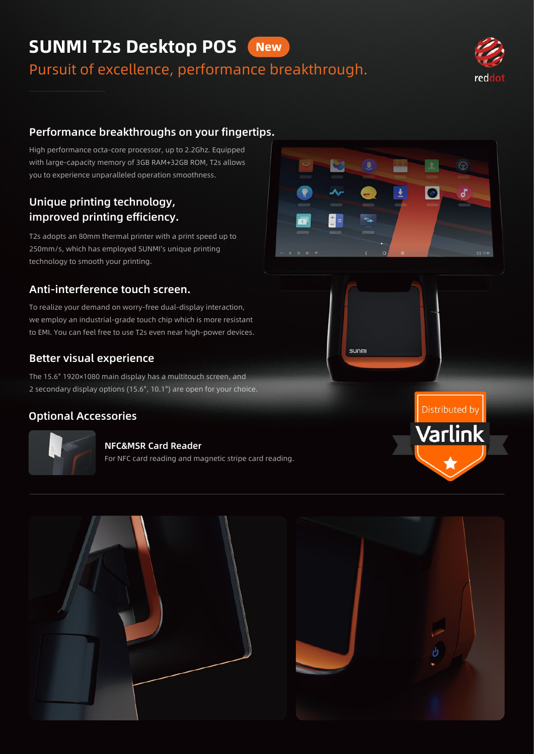#### SUNMI T2s Desktop POS **New**

Pursuit of excellence, performance breakthrough.



## Performance breakthroughs on your fingertips.

High performance octa-core processor, up to 2.2Ghz. Equipped with large-capacity memory of 3GB RAM+32GB ROM, T2s allows you to experience unparalleled operation smoothness.

## Unique printing technology, improved printing efficiency.

T2s adopts an 80mm thermal printer with a print speed up to 250mm/s, which has employed SUNMI's unique printing technology to smooth your printing.

#### Anti-interference touch screen.

To realize your demand on worry-free dual-display interaction, we employ an industrial-grade touch chip which is more resistant to EMI. You can feel free to use T2s even near high-power devices.

#### Better visual experience

The 15.6" 1920×1080 main display has a multitouch screen, and 2 secondary display options (15.6", 10.1") are open for your choice.

#### Optional Accessories



#### NFC&MSR Card Reader

For NFC card reading and magnetic stripe card reading.